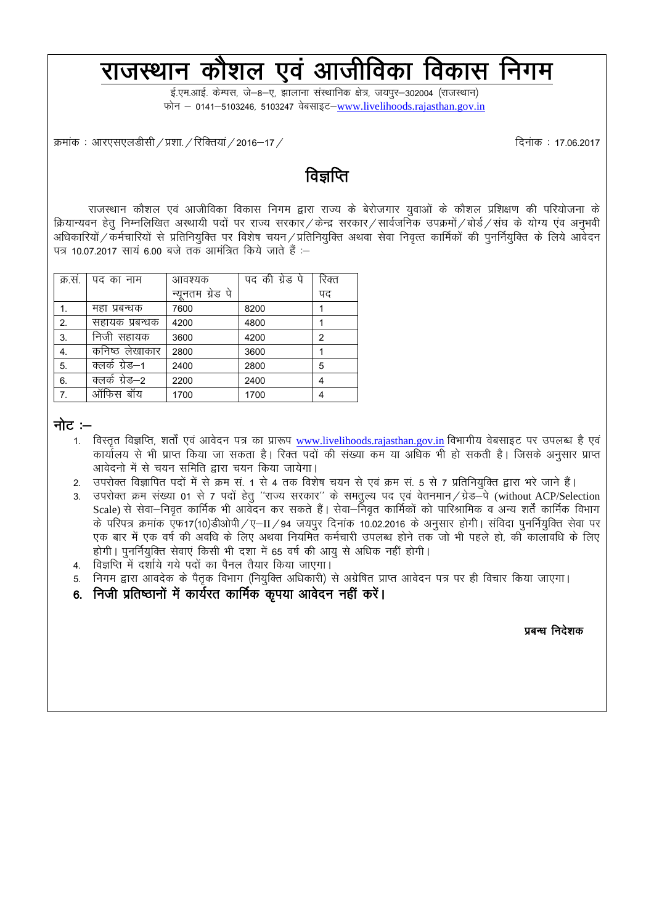# राजस्थान कौशल एवं आजीविका विकास निगम

ई.एम.आई. केम्पस, जे–8–ए, झालाना संस्थानिक क्षेत्र, जयपूर–302004 (राजस्थान) फोन - 0141-5103246, 5103247 वेबसाइट-[www.livelihoods.rajasthan.gov.in](http://www.livelihoods.rajasthan.gov.in/)

Øekad % vkj,l,yMhlh@ç'kk-@fjfDr;k a@2016&17@ fnuakd % 17-06-2017

# विज्ञप्ति

राजस्थान कौशल एवं आजीविका विकास निगम द्वारा राज्य के बेरोजगार युवाओं के कौशल प्रशिक्षण की परियोजना के क्रियान्यवन हेतु निम्नलिखित अस्थायी पदों पर राज्य सरकार / केन्द्र सरकार /सार्वजनिक उपक्रमों /बोर्ड /संघ के योग्य एव अनुभवी अधिकारियों / कर्मचारियों से प्रतिनियुक्ति पर विशेष चयन / प्रतिनियुक्ति अथवा सेवा निवृत्त कार्मिकों की पुनर्नियुक्ति के लिये आवेदन पत्र 10.07.2017 साय 6.00 बजे तक आमंत्रित किये जाते हैं :-

| क्र.स. | पद का नाम      | आवश्यक           | पद की ग्रेड पे | रिक्त |
|--------|----------------|------------------|----------------|-------|
|        |                | न्यूनतम ग्रेड पे |                | पद    |
| 1.     | महा प्रबन्धक   | 7600             | 8200           |       |
| 2.     | सहायक प्रबन्धक | 4200             | 4800           |       |
| 3.     | निजी सहायक     | 3600             | 4200           | 2     |
| 4.     | कनिष्ठ लेखाकार | 2800             | 3600           |       |
| 5.     | क्लर्क ग्रेड–1 | 2400             | 2800           | 5     |
| 6.     | क्लके ग्रेड–2  | 2200             | 2400           | 4     |
| 7.     | ऑफिस<br>बॉय    | 1700             | 1700           | 4     |

#### नोट $:$   $-$

- 1. विस्तत विज्ञप्ति, शर्तों एवं आवेदन पत्र का प्रारूप [www.livelihoods.rajasthan.gov.in](http://www.livelihoods.rajasthan.gov.in/) विभागीय वेबसाइट पर उपलब्ध है एवं कार्यालय से भी प्राप्त किया जा सकता है। रिक्त पदों की संख्या कम या अधिक भी हो सकती है। जिसके अनुसार प्राप्त आवेदनो में से चयन समिति द्वारा चयन किया जायेगा।
- 2. उपरोक्त विज्ञापित पदों में से क्रम सं. 1 से 4 तक विशेष चयन से एवं क्रम सं. 5 से 7 प्रतिनियुक्ति द्वारा भरे जाने हैं।
- 3. उपरोक्त क्रम संख्या 01 से 7 पदों हेतु "राज्य सरकार" के समतुल्य पद एवं वेतनमान/ग्रेड-पे (without ACP/Selection Scale) से सेवा—निवृत कार्मिक भी आवेदन कर सकते हैं। सेवा—निवृत कार्मिकों को पारिश्रामिक व अन्य शर्तें कार्मिक विभाग के परिपत्र क्रमांक एफ17(10)डीओपी /ए–II /94 जयपुर दिनांक 10.02.2016 के अनुसार होगी। संविदा पुनर्नियुक्ति सेवा पर एक बार में एक वर्ष की अवधि के लिए अथवा नियमित कर्मचारी उपलब्ध होने तक जो भी पहले हो, की कालावधि के लिए होगी। पनर्नियक्ति सेवाएं किसी भी दशा में 65 वर्ष की आय से अधिक नहीं होगी।
- 4. विज्ञप्ति में दर्शाये गये पदों का पैनल तैयार किया जाएगा।
- 5. निगम द्वारा आवदेक के पैतृक विभाग (नियुक्ति अधिकारी) से अग्रेषित प्राप्त आवेदन पत्र पर ही विचार किया जाएगा।
- 6. निजी प्रतिष्ठानों में कार्यरत कार्मिक कृपया आवेदन नहीं करें।

ं राज्य कर राज्य कर राज्य कर राज्य कर राज्य कर राज्य कर राज्य कर राज्य कर राज्य कर राज्य कर राज्य कर राज्य कर र<br>प्रायंक कर राज्य कर राज्य कर राज्य कर राज्य कर राज्य कर राज्य कर राज्य कर राज्य कर राज्य कर राज्य कर राज्य कर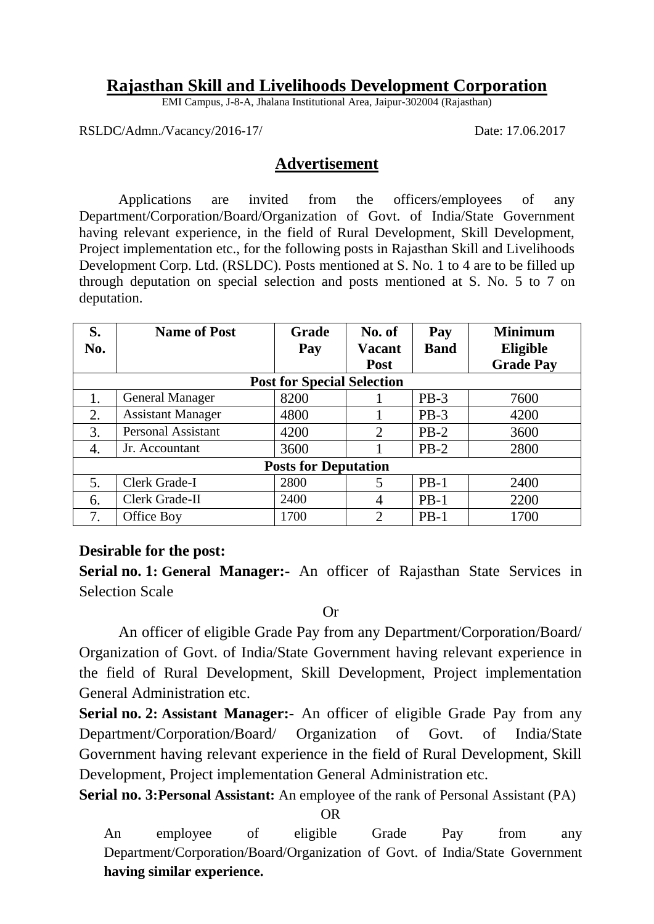# **Rajasthan Skill and Livelihoods Development Corporation**

EMI Campus, J-8-A, Jhalana Institutional Area, Jaipur-302004 (Rajasthan)

RSLDC/Admn./Vacancy/2016-17/ Date: 17.06.2017

## **Advertisement**

Applications are invited from the officers/employees of any Department/Corporation/Board/Organization of Govt. of India/State Government having relevant experience, in the field of Rural Development, Skill Development, Project implementation etc., for the following posts in Rajasthan Skill and Livelihoods Development Corp. Ltd. (RSLDC). Posts mentioned at S. No. 1 to 4 are to be filled up through deputation on special selection and posts mentioned at S. No. 5 to 7 on deputation.

| S.  | <b>Name of Post</b>       | <b>Grade</b>                      | No. of         | Pay         | <b>Minimum</b>   |  |  |  |  |
|-----|---------------------------|-----------------------------------|----------------|-------------|------------------|--|--|--|--|
| No. |                           | Pay                               | Vacant         | <b>Band</b> | Eligible         |  |  |  |  |
|     |                           |                                   | <b>Post</b>    |             | <b>Grade Pay</b> |  |  |  |  |
|     |                           | <b>Post for Special Selection</b> |                |             |                  |  |  |  |  |
| 1.  | <b>General Manager</b>    | 8200                              |                | $PB-3$      | 7600             |  |  |  |  |
| 2.  | <b>Assistant Manager</b>  | 4800                              |                | $PB-3$      | 4200             |  |  |  |  |
| 3.  | <b>Personal Assistant</b> | 4200                              | 2              | $PB-2$      | 3600             |  |  |  |  |
| 4.  | Jr. Accountant            | 3600                              |                | $PB-2$      | 2800             |  |  |  |  |
|     |                           | <b>Posts for Deputation</b>       |                |             |                  |  |  |  |  |
| 5.  | Clerk Grade-I             | 2800                              | 5              | $PB-1$      | 2400             |  |  |  |  |
| 6.  | Clerk Grade-II            | 2400                              | $\overline{4}$ | $PB-1$      | 2200             |  |  |  |  |
| 7.  | Office Boy                | 1700                              | $\overline{2}$ | $PB-1$      | 1700             |  |  |  |  |

# **Desirable for the post:**

**Serial no. 1: General Manager:-** An officer of Rajasthan State Services in Selection Scale

Or

An officer of eligible Grade Pay from any Department/Corporation/Board/ Organization of Govt. of India/State Government having relevant experience in the field of Rural Development, Skill Development, Project implementation General Administration etc.

**Serial no. 2: Assistant Manager:-** An officer of eligible Grade Pay from any Department/Corporation/Board/ Organization of Govt. of India/State Government having relevant experience in the field of Rural Development, Skill Development, Project implementation General Administration etc.

**Serial no. 3:Personal Assistant:** An employee of the rank of Personal Assistant (PA)

OR

An employee of eligible Grade Pay from any Department/Corporation/Board/Organization of Govt. of India/State Government **having similar experience.**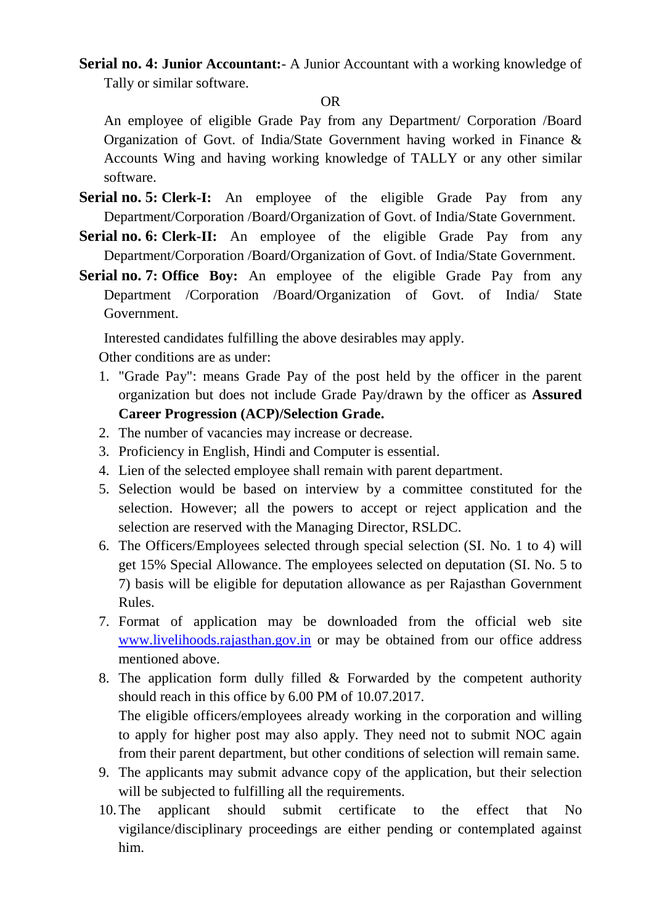**Serial no. 4: Junior Accountant:**- A Junior Accountant with a working knowledge of Tally or similar software.

#### OR

An employee of eligible Grade Pay from any Department/ Corporation /Board Organization of Govt. of India/State Government having worked in Finance & Accounts Wing and having working knowledge of TALLY or any other similar software.

- **Serial no. 5: Clerk-I:** An employee of the eligible Grade Pay from any Department/Corporation /Board/Organization of Govt. of India/State Government.
- **Serial no. 6: Clerk-II:** An employee of the eligible Grade Pay from any Department/Corporation /Board/Organization of Govt. of India/State Government.
- **Serial no. 7: Office Boy:** An employee of the eligible Grade Pay from any Department /Corporation /Board/Organization of Govt. of India/ State Government.

Interested candidates fulfilling the above desirables may apply.

Other conditions are as under:

- 1. "Grade Pay": means Grade Pay of the post held by the officer in the parent organization but does not include Grade Pay/drawn by the officer as **Assured Career Progression (ACP)/Selection Grade.**
- 2. The number of vacancies may increase or decrease.
- 3. Proficiency in English, Hindi and Computer is essential.
- 4. Lien of the selected employee shall remain with parent department.
- 5. Selection would be based on interview by a committee constituted for the selection. However; all the powers to accept or reject application and the selection are reserved with the Managing Director, RSLDC.
- 6. The Officers/Employees selected through special selection (SI. No. 1 to 4) will get 15% Special Allowance. The employees selected on deputation (SI. No. 5 to 7) basis will be eligible for deputation allowance as per Rajasthan Government Rules.
- 7. Format of application may be downloaded from the official web site [www.livelihoods.rajasthan.gov.in](http://www.livelihoods.rajasthan.gov.in/) or may be obtained from our office address mentioned above.
- 8. The application form dully filled  $\&$  Forwarded by the competent authority should reach in this office by 6.00 PM of 10.07.2017. The eligible officers/employees already working in the corporation and willing to apply for higher post may also apply. They need not to submit NOC again from their parent department, but other conditions of selection will remain same.
- 9. The applicants may submit advance copy of the application, but their selection will be subjected to fulfilling all the requirements.
- 10.The applicant should submit certificate to the effect that No vigilance/disciplinary proceedings are either pending or contemplated against him.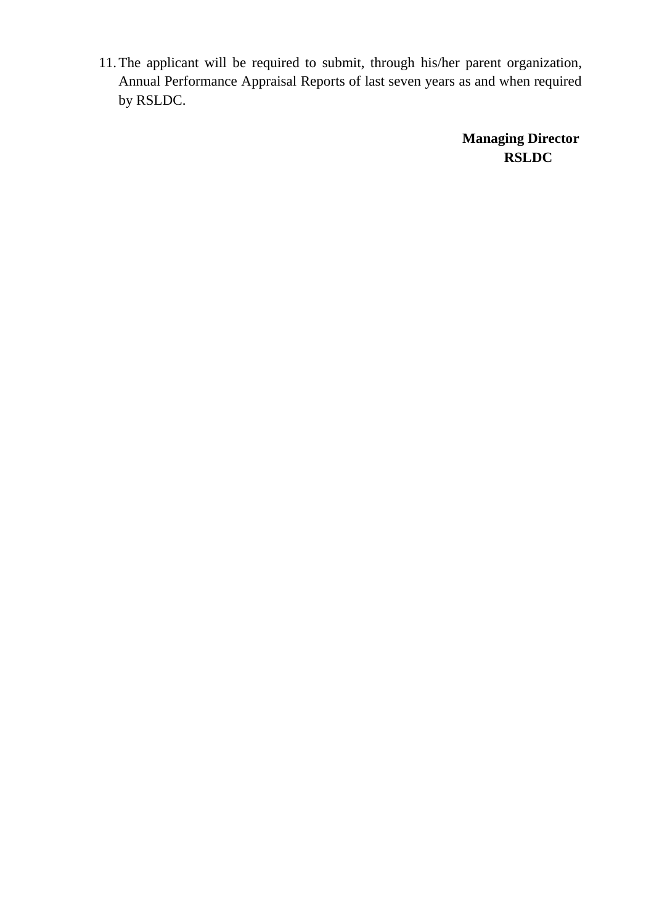11.The applicant will be required to submit, through his/her parent organization, Annual Performance Appraisal Reports of last seven years as and when required by RSLDC.

> **Managing Director RSLDC**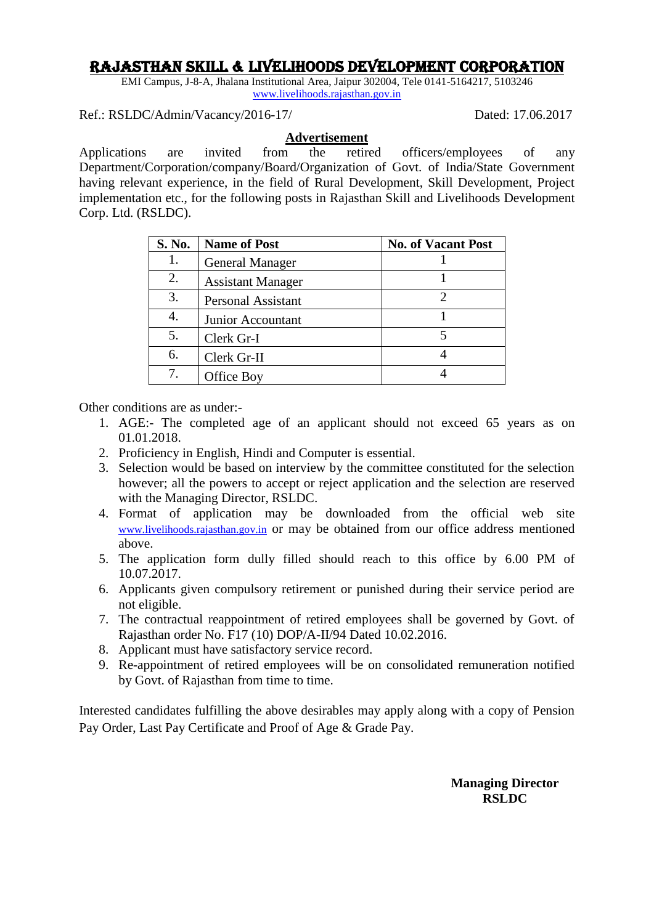# Rajasthan Skill & Livelihoods Development Corporation

EMI Campus, J-8-A, Jhalana Institutional Area, Jaipur 302004, Tele 0141-5164217, 5103246 [www.livelihoods.rajasthan.gov.in](http://www.livelihoods.rajasthan.gov.in/)

Ref.: RSLDC/Admin/Vacancy/2016-17/ Dated: 17.06.2017

#### **Advertisement**

Applications are invited from the retired officers/employees of any Department/Corporation/company/Board/Organization of Govt. of India/State Government having relevant experience, in the field of Rural Development, Skill Development, Project implementation etc., for the following posts in Rajasthan Skill and Livelihoods Development Corp. Ltd. (RSLDC).

| <b>S. No.</b> | <b>Name of Post</b>       | <b>No. of Vacant Post</b> |
|---------------|---------------------------|---------------------------|
|               | <b>General Manager</b>    |                           |
| 2.            | <b>Assistant Manager</b>  |                           |
| 3.            | <b>Personal Assistant</b> | 2                         |
|               | Junior Accountant         |                           |
| 5.            | Clerk Gr-I                |                           |
| 6.            | Clerk Gr-II               |                           |
|               | Office Boy                |                           |

Other conditions are as under:-

- 1. AGE:- The completed age of an applicant should not exceed 65 years as on 01.01.2018.
- 2. Proficiency in English, Hindi and Computer is essential.
- 3. Selection would be based on interview by the committee constituted for the selection however; all the powers to accept or reject application and the selection are reserved with the Managing Director, RSLDC.
- 4. Format of application may be downloaded from the official web site [www.livelihoods.rajasthan.gov.in](http://www.livelihoods.rajasthan.gov.in/) or may be obtained from our office address mentioned above.
- 5. The application form dully filled should reach to this office by 6.00 PM of 10.07.2017.
- 6. Applicants given compulsory retirement or punished during their service period are not eligible.
- 7. The contractual reappointment of retired employees shall be governed by Govt. of Rajasthan order No. F17 (10) DOP/A-II/94 Dated 10.02.2016.
- 8. Applicant must have satisfactory service record.
- 9. Re-appointment of retired employees will be on consolidated remuneration notified by Govt. of Rajasthan from time to time.

Interested candidates fulfilling the above desirables may apply along with a copy of Pension Pay Order, Last Pay Certificate and Proof of Age & Grade Pay.

> **Managing Director RSLDC**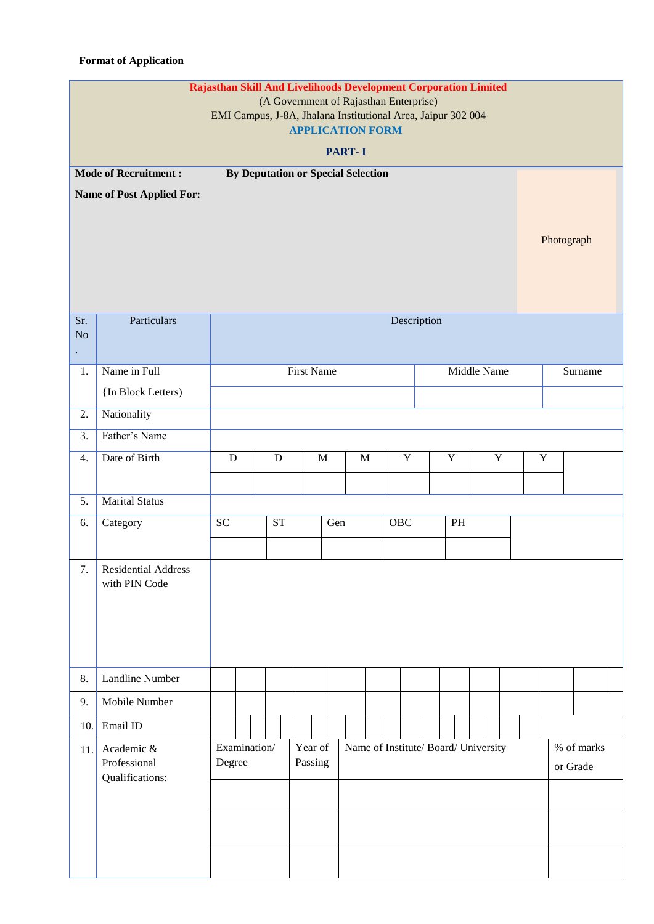### **Format of Application**

|                                                                 | Rajasthan Skill And Livelihoods Development Corporation Limited<br>(A Government of Rajasthan Enterprise)<br>EMI Campus, J-8A, Jhalana Institutional Area, Jaipur 302 004<br><b>APPLICATION FORM</b><br><b>PART-I</b> |                                                   |  |  |                                           |             |                    |  |     |  |             |             |               |                                      |  |             |             |             |  |  |         |  |                        |  |  |  |
|-----------------------------------------------------------------|-----------------------------------------------------------------------------------------------------------------------------------------------------------------------------------------------------------------------|---------------------------------------------------|--|--|-------------------------------------------|-------------|--------------------|--|-----|--|-------------|-------------|---------------|--------------------------------------|--|-------------|-------------|-------------|--|--|---------|--|------------------------|--|--|--|
| <b>Mode of Recruitment:</b><br><b>Name of Post Applied For:</b> |                                                                                                                                                                                                                       |                                                   |  |  | <b>By Deputation or Special Selection</b> |             |                    |  |     |  |             |             |               | Photograph                           |  |             |             |             |  |  |         |  |                        |  |  |  |
| Sr.<br>N <sub>o</sub>                                           | Particulars                                                                                                                                                                                                           |                                                   |  |  |                                           |             |                    |  |     |  |             |             |               | Description                          |  |             |             |             |  |  |         |  |                        |  |  |  |
| 1.                                                              | Name in Full                                                                                                                                                                                                          |                                                   |  |  |                                           |             | <b>First Name</b>  |  |     |  |             |             |               |                                      |  |             | Middle Name |             |  |  | Surname |  |                        |  |  |  |
|                                                                 | {In Block Letters)                                                                                                                                                                                                    |                                                   |  |  |                                           |             |                    |  |     |  |             |             |               |                                      |  |             |             |             |  |  |         |  |                        |  |  |  |
| 2.                                                              | Nationality                                                                                                                                                                                                           |                                                   |  |  |                                           |             |                    |  |     |  |             |             |               |                                      |  |             |             |             |  |  |         |  |                        |  |  |  |
| 3.                                                              | Father's Name                                                                                                                                                                                                         |                                                   |  |  |                                           |             |                    |  |     |  |             |             |               |                                      |  |             |             |             |  |  |         |  |                        |  |  |  |
| 4.                                                              | Date of Birth                                                                                                                                                                                                         | ${\bf D}$<br>${\bf D}$                            |  |  |                                           | $\mathbf M$ | $\mathbf M$        |  |     |  | $\mathbf Y$ | $\mathbf Y$ |               |                                      |  | $\mathbf Y$ |             | $\mathbf Y$ |  |  |         |  |                        |  |  |  |
|                                                                 |                                                                                                                                                                                                                       |                                                   |  |  |                                           |             |                    |  |     |  |             |             |               |                                      |  |             |             |             |  |  |         |  |                        |  |  |  |
| 5.                                                              | <b>Marital Status</b>                                                                                                                                                                                                 |                                                   |  |  |                                           |             |                    |  |     |  |             |             |               |                                      |  |             |             |             |  |  |         |  |                        |  |  |  |
| 6.                                                              | Category                                                                                                                                                                                                              | $\ensuremath{\mathbf{SC}}$<br>$\operatorname{ST}$ |  |  |                                           | Gen         |                    |  | OBC |  |             |             | $\mathbf{PH}$ |                                      |  |             |             |             |  |  |         |  |                        |  |  |  |
| 7.                                                              | <b>Residential Address</b><br>with PIN Code                                                                                                                                                                           |                                                   |  |  |                                           |             |                    |  |     |  |             |             |               |                                      |  |             |             |             |  |  |         |  |                        |  |  |  |
| 8.                                                              | Landline Number                                                                                                                                                                                                       |                                                   |  |  |                                           |             |                    |  |     |  |             |             |               |                                      |  |             |             |             |  |  |         |  |                        |  |  |  |
| 9.                                                              | Mobile Number                                                                                                                                                                                                         |                                                   |  |  |                                           |             |                    |  |     |  |             |             |               |                                      |  |             |             |             |  |  |         |  |                        |  |  |  |
| 10.                                                             | Email ID                                                                                                                                                                                                              |                                                   |  |  |                                           |             |                    |  |     |  |             |             |               |                                      |  |             |             |             |  |  |         |  |                        |  |  |  |
| 11.                                                             | Academic &<br>Professional<br>Qualifications:                                                                                                                                                                         | Examination/<br>Degree                            |  |  |                                           |             | Year of<br>Passing |  |     |  |             |             |               | Name of Institute/ Board/ University |  |             |             |             |  |  |         |  | % of marks<br>or Grade |  |  |  |
|                                                                 |                                                                                                                                                                                                                       |                                                   |  |  |                                           |             |                    |  |     |  |             |             |               |                                      |  |             |             |             |  |  |         |  |                        |  |  |  |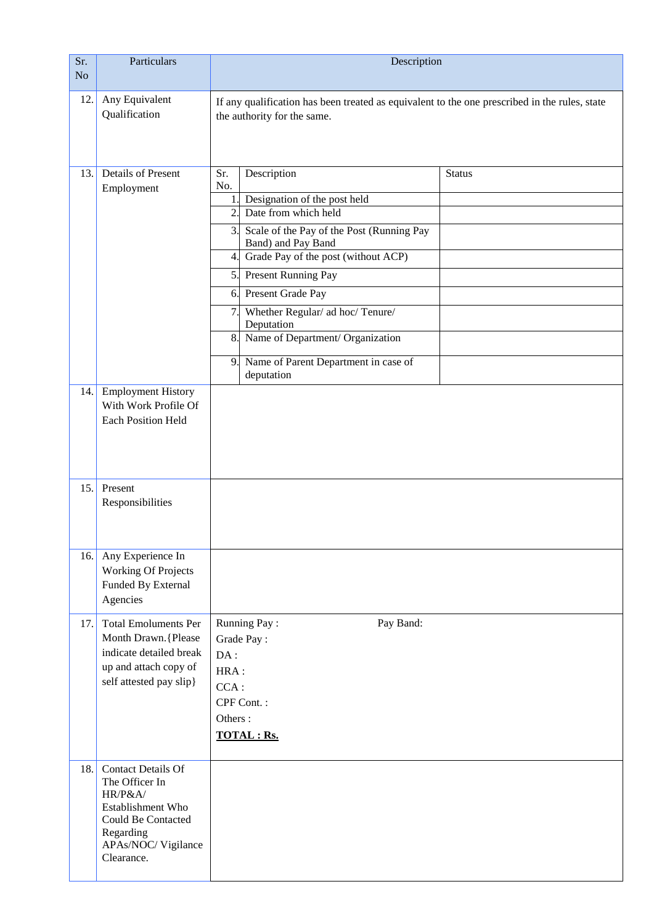| Sr.<br>N <sub>o</sub> | Particulars                                                                                                                                               | Description                                                                                                                                                                                                                                                                                                                                                                                                                                              |  |  |  |  |  |  |  |  |
|-----------------------|-----------------------------------------------------------------------------------------------------------------------------------------------------------|----------------------------------------------------------------------------------------------------------------------------------------------------------------------------------------------------------------------------------------------------------------------------------------------------------------------------------------------------------------------------------------------------------------------------------------------------------|--|--|--|--|--|--|--|--|
| 12.                   | Any Equivalent<br>Qualification                                                                                                                           | If any qualification has been treated as equivalent to the one prescribed in the rules, state<br>the authority for the same.                                                                                                                                                                                                                                                                                                                             |  |  |  |  |  |  |  |  |
| 13.                   | <b>Details of Present</b><br>Employment                                                                                                                   | Sr.<br>Description<br><b>Status</b><br>No.<br>Designation of the post held<br>1.1<br>Date from which held<br>2.<br>Scale of the Pay of the Post (Running Pay<br>3.<br>Band) and Pay Band<br>Grade Pay of the post (without ACP)<br>4.<br>5. Present Running Pay<br>Present Grade Pay<br>6.<br>Whether Regular/ ad hoc/ Tenure/<br>7.<br>Deputation<br>Name of Department/ Organization<br>8.<br>Name of Parent Department in case of<br>9.<br>deputation |  |  |  |  |  |  |  |  |
|                       | 14. Employment History<br>With Work Profile Of<br><b>Each Position Held</b>                                                                               |                                                                                                                                                                                                                                                                                                                                                                                                                                                          |  |  |  |  |  |  |  |  |
| 15.                   | Present<br>Responsibilities                                                                                                                               |                                                                                                                                                                                                                                                                                                                                                                                                                                                          |  |  |  |  |  |  |  |  |
| 16.                   | Any Experience In<br><b>Working Of Projects</b><br>Funded By External<br>Agencies                                                                         |                                                                                                                                                                                                                                                                                                                                                                                                                                                          |  |  |  |  |  |  |  |  |
| 17.                   | <b>Total Emoluments Per</b><br>Month Drawn. {Please<br>indicate detailed break<br>up and attach copy of<br>self attested pay slip}                        | Running Pay:<br>Pay Band:<br>Grade Pay:<br>DA:<br>HRA:<br>$CCA$ :<br>CPF Cont.:<br>Others:<br><b>TOTAL : Rs.</b>                                                                                                                                                                                                                                                                                                                                         |  |  |  |  |  |  |  |  |
| 18.                   | <b>Contact Details Of</b><br>The Officer In<br>HR/P&A/<br>Establishment Who<br><b>Could Be Contacted</b><br>Regarding<br>APAs/NOC/Vigilance<br>Clearance. |                                                                                                                                                                                                                                                                                                                                                                                                                                                          |  |  |  |  |  |  |  |  |